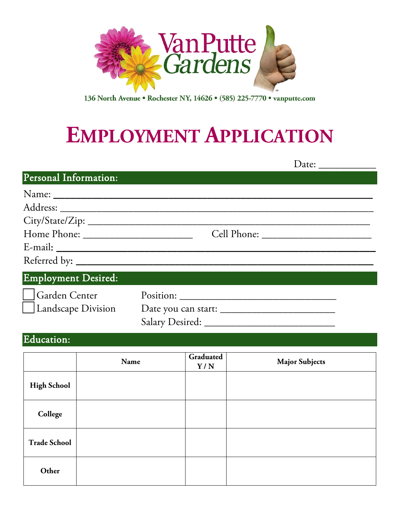

136 North Avenue • Rochester NY, 14626 • (585) 225-7770 • vanputte.com

# **EMPLOYMENT APPLICATION**

|                       | Date: $\_\_$ |  |
|-----------------------|--------------|--|
| Personal Information: |              |  |
|                       |              |  |
|                       |              |  |
|                       |              |  |
|                       |              |  |
|                       |              |  |
|                       |              |  |
| Employment Desired:   |              |  |
|                       |              |  |
|                       |              |  |

Salary Desired: \_\_\_\_\_\_\_\_\_\_\_\_\_\_\_\_\_\_\_\_\_\_\_\_\_

#### Education:

|                     | Name | Graduated<br>Y/N | <b>Major Subjects</b> |
|---------------------|------|------------------|-----------------------|
| <b>High School</b>  |      |                  |                       |
| College             |      |                  |                       |
| <b>Trade School</b> |      |                  |                       |
| Other               |      |                  |                       |